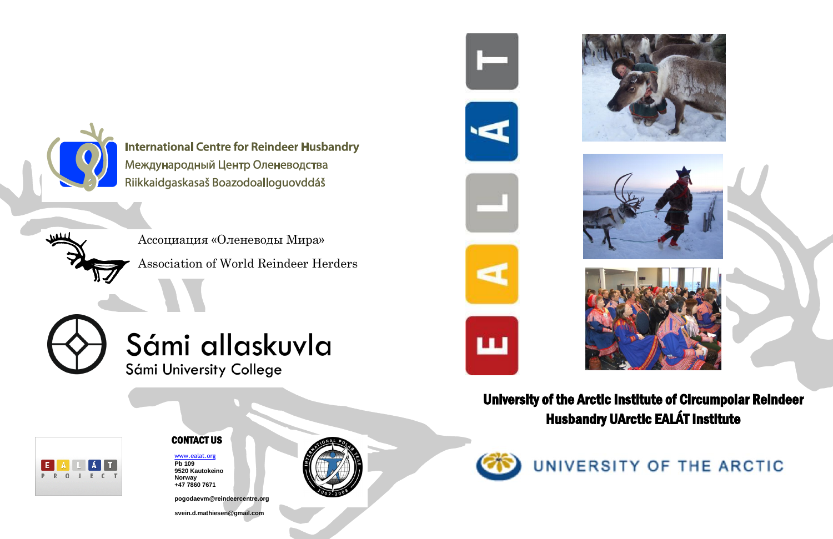

**International Centre for Reindeer Husbandry** Международный Центр Оленеводства Riikkaidgaskasaš Boazodoalloguovddáš

### CONTACT US

## University of the Arctic Institute of Circumpolar Reindeer Husbandry UArctic EALÁT Institute





[www.ealat.org](http://www.ealat.org/) **Pb 109 9520 Kautokeino Norway +47 7860 7671**

**pogodaevm@reindeercentre.org**

**svein.d.mathiesen@gmail.com**









# UNIVERSITY OF THE ARCTIC

Ассоциация «Оленеводы Мира» Association of World Reindeer Herders



Sámi allaskuvla Sámi University College